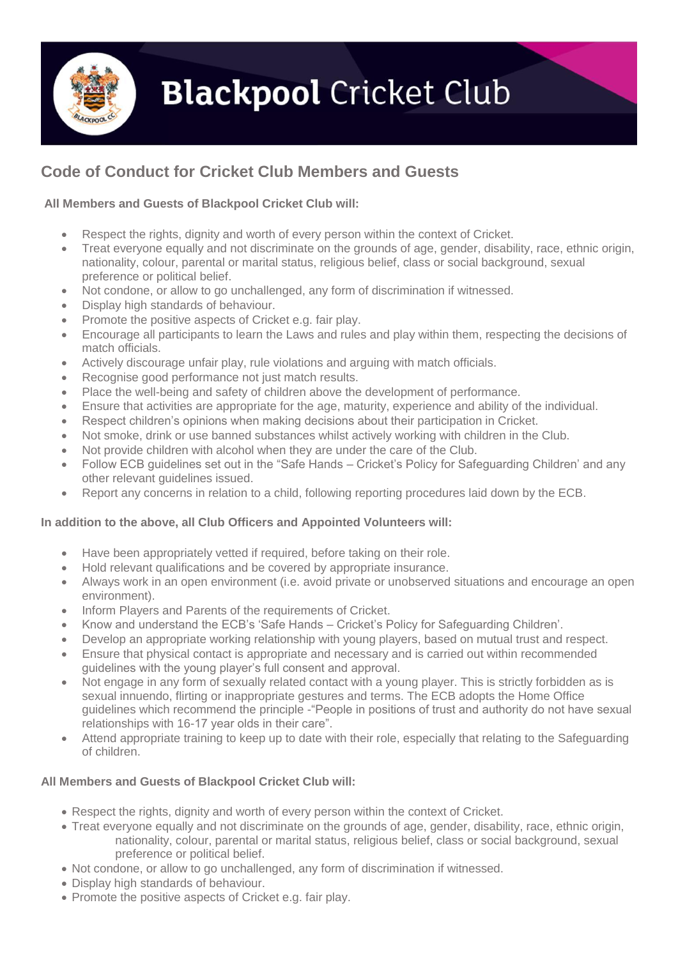

# **Blackpool Cricket Club**

## **Code of Conduct for Cricket Club Members and Guests**

### **All Members and Guests of Blackpool Cricket Club will:**

- Respect the rights, dignity and worth of every person within the context of Cricket.
- Treat everyone equally and not discriminate on the grounds of age, gender, disability, race, ethnic origin, nationality, colour, parental or marital status, religious belief, class or social background, sexual preference or political belief.
- Not condone, or allow to go unchallenged, any form of discrimination if witnessed.
- Display high standards of behaviour.
- Promote the positive aspects of Cricket e.g. fair play.
- Encourage all participants to learn the Laws and rules and play within them, respecting the decisions of match officials.
- Actively discourage unfair play, rule violations and arguing with match officials.
- Recognise good performance not just match results.
- Place the well-being and safety of children above the development of performance.
- Ensure that activities are appropriate for the age, maturity, experience and ability of the individual.
- Respect children's opinions when making decisions about their participation in Cricket.
- Not smoke, drink or use banned substances whilst actively working with children in the Club.
- Not provide children with alcohol when they are under the care of the Club.
- Follow ECB guidelines set out in the "Safe Hands Cricket's Policy for Safeguarding Children' and any other relevant guidelines issued.
- Report any concerns in relation to a child, following reporting procedures laid down by the ECB.

#### **In addition to the above, all Club Officers and Appointed Volunteers will:**

- Have been appropriately vetted if required, before taking on their role.
- Hold relevant qualifications and be covered by appropriate insurance.
- Always work in an open environment (i.e. avoid private or unobserved situations and encourage an open environment).
- Inform Players and Parents of the requirements of Cricket.
- Know and understand the ECB's 'Safe Hands Cricket's Policy for Safeguarding Children'.
- Develop an appropriate working relationship with young players, based on mutual trust and respect.
- Ensure that physical contact is appropriate and necessary and is carried out within recommended guidelines with the young player's full consent and approval.
- Not engage in any form of sexually related contact with a young player. This is strictly forbidden as is sexual innuendo, flirting or inappropriate gestures and terms. The ECB adopts the Home Office guidelines which recommend the principle -"People in positions of trust and authority do not have sexual relationships with 16-17 year olds in their care".
- Attend appropriate training to keep up to date with their role, especially that relating to the Safeguarding of children.

#### **All Members and Guests of Blackpool Cricket Club will:**

- Respect the rights, dignity and worth of every person within the context of Cricket.
- Treat everyone equally and not discriminate on the grounds of age, gender, disability, race, ethnic origin, nationality, colour, parental or marital status, religious belief, class or social background, sexual preference or political belief.
- Not condone, or allow to go unchallenged, any form of discrimination if witnessed.
- Display high standards of behaviour.
- Promote the positive aspects of Cricket e.g. fair play.